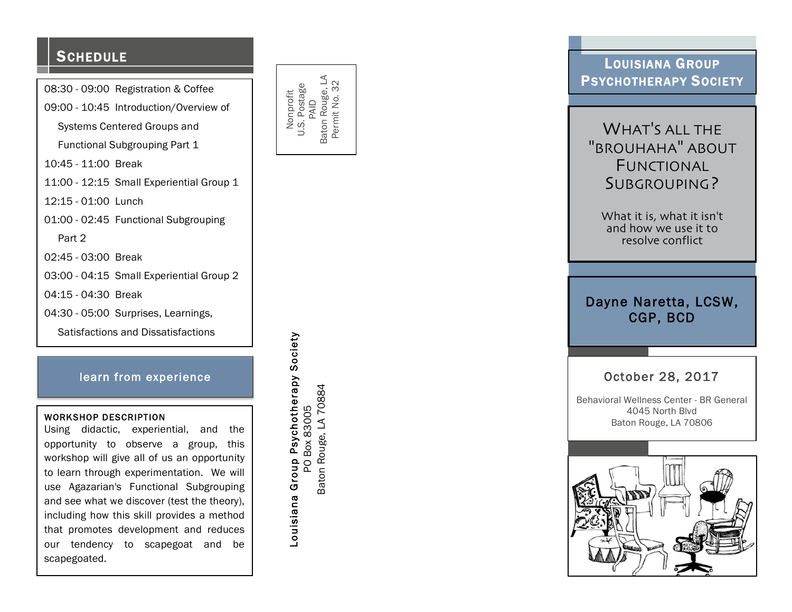## **SCHEDULE**

08:30 - 09:00 Registration & Coffee

09:00 - 10:45 Introduction/Overview of

Systems Centered Groups and

Functional Subgrouping Part 1

10:45 - 11:00 Break

11:00 - 12:15 Small Experiential Group 1

12:15 - 01:00 Lunch

01:00 - 02:45 Functional Subgrouping

Part 2

02:45 - 03:00 Break

03:00 - 04:15 Small Experiential Group 2

04:15 - 04:30 Break

04:30 - 05:00 Surprises, Learnings,

Satisfactions and Dissatisfactions

### learn from experience

#### WORKSHOP DESCRIPTION

Using didactic, experiential, and the opportunity to observe a group, this workshop will give all of us an opportunity to learn through experimentation. We will use Agazarian's Functional Subgrouping and see what we discover (test the theory), including how this skill provides a method that promotes development and reduces our tendency to scapegoat and be scapegoated.



Louisiana Group Psychotherapy Society PO Box 83005 Baton Rouge, LA 70884

Baton Rouge, LA 70884 PO Box 83005

Louisiana Group Psychotherapy Society

## LOUISIANA GROUP PSYCHOTHERAPY SOCIETY

# WHAT 'S ALL THE "BROUHAHA " ABOUT FUNCTIONAL S UBGROUPING ?

What it is , what it isn't and how we use it to resolve conflict

## Dayne Naretta, LCSW, CGP, BCD

## October 28, 2017

 Behavioral Wellness Center - BR General 4045 North Blvd Baton Rouge, LA 70806